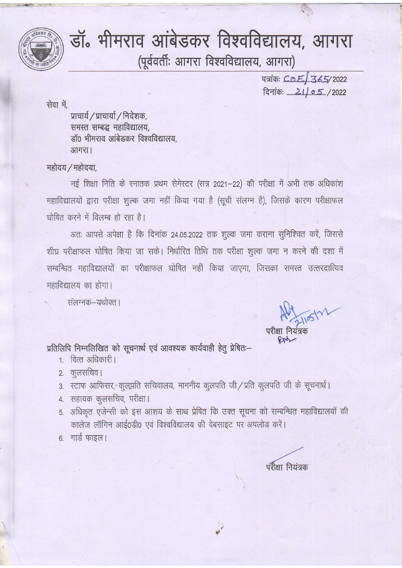

# . मीमराव आंबेडकर विश्वविद्यालय, आगरा<br>(पूर्ववर्ती: आगरा विश्वविद्यालय, आगरा)

पत्रांकः COE 365/2022 दिनांकः 21/05/2022

सेवा में,

प्राचार्य / प्राचार्या / निदेशक, समस्त सम्बद्ध महाविद्यालय.  $\sin \theta$  भीमराव आंबेडकर विश्वविद्यालय. आगरा।

 $\mathcal{L}$  -1:ai:ii  $\mathcal{L}$  -1:ai:ii  $\mathcal{L}$  -1:ai:ii  $\mathcal{L}$  -1:ai:ii  $\mathcal{L}$  -1:ai:ii  $\mathcal{L}$  -1:ai:ii  $\mathcal{L}$ 

### महोदय / महोदया.

नई शिक्षा निति के स्नातक प्रथम सेमेस्टर (सत्र 2021-22) की परीक्षा में अभी तक अधिकांश महाविद्यालयों द्वारा परीक्षा शूल्क जमा नहीं किया गया है (सूची संलग्न है), जिसके कारण परीक्षाफल घोषित करने में विलम्ब हो रहा है।

अतः आपसे अपेक्षा है कि दिनांक 24.05.2022 तक शुल्क जमा कराना सुनिश्चित करें, जिससे शीघ्र परीक्षाफल घोषित किया जा सके। निर्धारित तिथि तक परीक्षा शूल्क जमा न करने की दशा में सम्बन्धित महाविद्यालयों का परीक्षाफल घोषित नहीं किया जाएगा, जिसका समस्त उत्तरदात्यिव महाविद्यालय का होगा।

संलग्नक–यथोक्त ।

 $A = 3105121$ 

परीक्षा नियंत्रक  $84$ 

प्रतिलिपि निम्नलिखित को सूचनार्थ एवं आवश्यक कार्यवाही हेतु प्रेषितः-

- 1. वित्त अधिकारी।
- 2. कुलसचिव।
- 3. स्टाफ आफिसर, कुलपति सचिवालय, माननीय कुलपति जी / प्रति कुलपति जी के सूचनार्थ।
- 4. सहायक कुलसचिव, परीक्षा।
- 5. अधिकृत एजेन्सी को इस आशय के साथ प्रेषित कि उक्त सूचना को सम्बन्धित महाविद्यालयों की कालेज लॉगिन आई0डी0 एवं विश्वविद्यालय की वेबसाइट पर अपलोड करें।

t

 $6.$  गार्ड फाइल।

परीक्षा नियंत्रक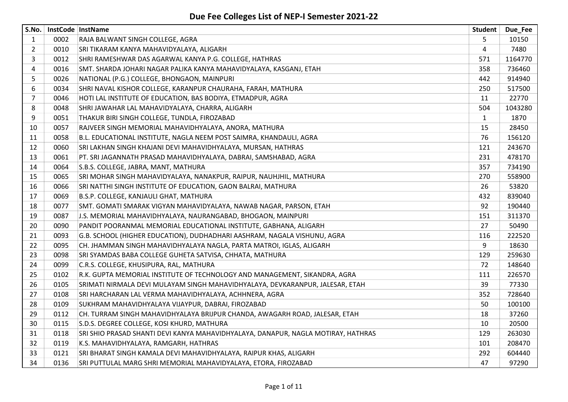| S.No.          |      | InstCode InstName                                                                 | <b>Student</b> | Due_Fee |
|----------------|------|-----------------------------------------------------------------------------------|----------------|---------|
| 1              | 0002 | RAJA BALWANT SINGH COLLEGE, AGRA                                                  | 5              | 10150   |
| $\overline{2}$ | 0010 | SRI TIKARAM KANYA MAHAVIDYALAYA, ALIGARH                                          | 4              | 7480    |
| 3              | 0012 | SHRI RAMESHWAR DAS AGARWAL KANYA P.G. COLLEGE, HATHRAS                            | 571            | 1164770 |
| 4              | 0016 | SMT. SHARDA JOHARI NAGAR PALIKA KANYA MAHAVIDYALAYA, KASGANJ, ETAH                | 358            | 736460  |
| 5              | 0026 | NATIONAL (P.G.) COLLEGE, BHONGAON, MAINPURI                                       | 442            | 914940  |
| 6              | 0034 | SHRI NAVAL KISHOR COLLEGE, KARANPUR CHAURAHA, FARAH, MATHURA                      | 250            | 517500  |
| 7              | 0046 | HOTI LAL INSTITUTE OF EDUCATION, BAS BODIYA, ETMADPUR, AGRA                       | 11             | 22770   |
| 8              | 0048 | SHRI JAWAHAR LAL MAHAVIDYALAYA, CHARRA, ALIGARH                                   | 504            | 1043280 |
| 9              | 0051 | THAKUR BIRI SINGH COLLEGE, TUNDLA, FIROZABAD                                      | $\mathbf{1}$   | 1870    |
| 10             | 0057 | RAJVEER SINGH MEMORIAL MAHAVIDHYALAYA, ANORA, MATHURA                             | 15             | 28450   |
| 11             | 0058 | B.L. EDUCATIONAL INSTITUTE, NAGLA NEEM POST SAIMRA, KHANDAULI, AGRA               | 76             | 156120  |
| 12             | 0060 | SRI LAKHAN SINGH KHAJANI DEVI MAHAVIDHYALAYA, MURSAN, HATHRAS                     | 121            | 243670  |
| 13             | 0061 | PT. SRI JAGANNATH PRASAD MAHAVIDHYALAYA, DABRAI, SAMSHABAD, AGRA                  | 231            | 478170  |
| 14             | 0064 | S.B.S. COLLEGE, JABRA, MANT, MATHURA                                              | 357            | 734190  |
| 15             | 0065 | SRI MOHAR SINGH MAHAVIDYALAYA, NANAKPUR, RAIPUR, NAUHJHIL, MATHURA                | 270            | 558900  |
| 16             | 0066 | SRI NATTHI SINGH INSTITUTE OF EDUCATION, GAON BALRAI, MATHURA                     | 26             | 53820   |
| 17             | 0069 | B.S.P. COLLEGE, KANJAULI GHAT, MATHURA                                            | 432            | 839040  |
| 18             | 0077 | SMT. GOMATI SMARAK VIGYAN MAHAVIDYALAYA, NAWAB NAGAR, PARSON, ETAH                | 92             | 190440  |
| 19             | 0087 | J.S. MEMORIAL MAHAVIDHYALAYA, NAURANGABAD, BHOGAON, MAINPURI                      | 151            | 311370  |
| 20             | 0090 | PANDIT POORANMAL MEMORIAL EDUCATIONAL INSTITUTE, GABHANA, ALIGARH                 | 27             | 50490   |
| 21             | 0093 | G.B. SCHOOL (HIGHER EDUCATION), DUDHADHARI AASHRAM, NAGALA VISHUNU, AGRA          | 116            | 222520  |
| 22             | 0095 | CH. JHAMMAN SINGH MAHAVIDHYALAYA NAGLA, PARTA MATROI, IGLAS, ALIGARH              | 9              | 18630   |
| 23             | 0098 | SRI SYAMDAS BABA COLLEGE GUHETA SATVISA, CHHATA, MATHURA                          | 129            | 259630  |
| 24             | 0099 | C.R.S. COLLEGE, KHUSIPURA, RAL, MATHURA                                           | 72             | 148640  |
| 25             | 0102 | R.K. GUPTA MEMORIAL INSTITUTE OF TECHNOLOGY AND MANAGEMENT, SIKANDRA, AGRA        | 111            | 226570  |
| 26             | 0105 | SRIMATI NIRMALA DEVI MULAYAM SINGH MAHAVIDHYALAYA, DEVKARANPUR, JALESAR, ETAH     | 39             | 77330   |
| 27             | 0108 | SRI HARCHARAN LAL VERMA MAHAVIDHYALAYA, ACHHNERA, AGRA                            | 352            | 728640  |
| 28             | 0109 | SUKHRAM MAHAVIDHYALAYA VIJAYPUR, DABRAI, FIROZABAD                                | 50             | 100100  |
| 29             | 0112 | CH. TURRAM SINGH MAHAVIDHYALAYA BRIJPUR CHANDA, AWAGARH ROAD, JALESAR, ETAH       | 18             | 37260   |
| 30             | 0115 | S.D.S. DEGREE COLLEGE, KOSI KHURD, MATHURA                                        | 10             | 20500   |
| 31             | 0118 | SRI SHIO PRASAD SHANTI DEVI KANYA MAHAVIDHYALAYA, DANAPUR, NAGLA MOTIRAY, HATHRAS | 129            | 263030  |
| 32             | 0119 | K.S. MAHAVIDHYALAYA, RAMGARH, HATHRAS                                             | 101            | 208470  |
| 33             | 0121 | SRI BHARAT SINGH KAMALA DEVI MAHAVIDHYALAYA, RAIPUR KHAS, ALIGARH                 | 292            | 604440  |
| 34             | 0136 | SRI PUTTULAL MARG SHRI MEMORIAL MAHAVIDYALAYA, ETORA, FIROZABAD                   | 47             | 97290   |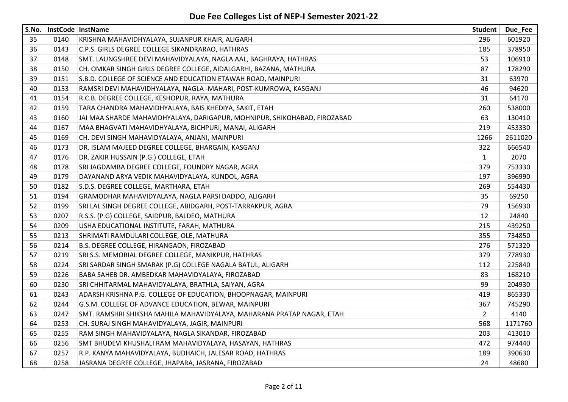| S.No. | InstCode InstName |                                                                           | Student        | Due_Fee |
|-------|-------------------|---------------------------------------------------------------------------|----------------|---------|
| 35    | 0140              | KRISHNA MAHAVIDHYALAYA, SUJANPUR KHAIR, ALIGARH                           | 296            | 601920  |
| 36    | 0143              | C.P.S. GIRLS DEGREE COLLEGE SIKANDRARAO, HATHRAS                          | 185            | 378950  |
| 37    | 0148              | SMT. LAUNGSHREE DEVI MAHAVIDYALAYA, NAGLA AAL, BAGHRAYA, HATHRAS          | 53             | 106910  |
| 38    | 0150              | CH. OMKAR SINGH GIRLS DEGREE COLLEGE, AIDALGARHI, BAZANA, MATHURA         | 87             | 178290  |
| 39    | 0151              | S.B.D. COLLEGE OF SCIENCE AND EDUCATION ETAWAH ROAD, MAINPURI             | 31             | 63970   |
| 40    | 0153              | RAMSRI DEVI MAHAVIDHYALAYA, NAGLA -MAHARI, POST-KUMROWA, KASGANJ          | 46             | 94620   |
| 41    | 0154              | R.C.B. DEGREE COLLEGE, KESHOPUR, RAYA, MATHURA                            | 31             | 64170   |
| 42    | 0159              | TARA CHANDRA MAHAVIDHYALAYA, BAIS KHEDIYA, SAKIT, ETAH                    | 260            | 538000  |
| 43    | 0160              | JAI MAA SHARDE MAHAVIDHYALAYA, DARIGAPUR, MOHNIPUR, SHIKOHABAD, FIROZABAD | 63             | 130410  |
| 44    | 0167              | MAA BHAGVATI MAHAVIDHYALAYA, BICHPURI, MANAI, ALIGARH                     | 219            | 453330  |
| 45    | 0169              | CH. DEVI SINGH MAHAVIDYALAYA, ANJANI, MAINPURI                            | 1266           | 2611020 |
| 46    | 0173              | DR. ISLAM MAJEED DEGREE COLLEGE, BHARGAIN, KASGANJ                        | 322            | 666540  |
| 47    | 0176              | DR. ZAKIR HUSSAIN (P.G.) COLLEGE, ETAH                                    | $\mathbf{1}$   | 2070    |
| 48    | 0178              | SRI JAGDAMBA DEGREE COLLEGE, FOUNDRY NAGAR, AGRA                          | 379            | 753330  |
| 49    | 0179              | DAYANAND ARYA VEDIK MAHAVIDYALAYA, KUNDOL, AGRA                           | 197            | 396990  |
| 50    | 0182              | S.D.S. DEGREE COLLEGE, MARTHARA, ETAH                                     | 269            | 554430  |
| 51    | 0194              | GRAMODHAR MAHAVIDYALAYA, NAGLA PARSI DADDO, ALIGARH                       | 35             | 69250   |
| 52    | 0199              | SRI LAL SINGH DEGREE COLLEGE, ABIDGARH, POST-TARRAKPUR, AGRA              | 79             | 156930  |
| 53    | 0207              | R.S.S. (P.G) COLLEGE, SAIDPUR, BALDEO, MATHURA                            | 12             | 24840   |
| 54    | 0209              | USHA EDUCATIONAL INSTITUTE, FARAH, MATHURA                                | 215            | 439250  |
| 55    | 0213              | SHRIMATI RAMDULARI COLLEGE, OLE, MATHURA                                  | 355            | 734850  |
| 56    | 0214              | B.S. DEGREE COLLEGE, HIRANGAON, FIROZABAD                                 | 276            | 571320  |
| 57    | 0219              | SRI S.S. MEMORIAL DEGREE COLLEGE, MANIKPUR, HATHRAS                       | 379            | 778930  |
| 58    | 0224              | SRI SARDAR SINGH SMARAK (P.G) COLLEGE NAGALA BATUL, ALIGARH               | 112            | 225840  |
| 59    | 0226              | BABA SAHEB DR. AMBEDKAR MAHAVIDYALAYA, FIROZABAD                          | 83             | 168210  |
| 60    | 0230              | SRI CHHITARMAL MAHAVIDYALAYA, BRATHLA, SAIYAN, AGRA                       | 99             | 204930  |
| 61    | 0243              | ADARSH KRISHNA P.G. COLLEGE OF EDUCATION, BHOOPNAGAR, MAINPURI            | 419            | 865330  |
| 62    | 0244              | G.S.M. COLLEGE OF ADVANCE EDUCATION, BEWAR, MAINPURI                      | 367            | 745290  |
| 63    | 0247              | SMT. RAMSHRI SHIKSHA MAHILA MAHAVIDYALAYA, MAHARANA PRATAP NAGAR, ETAH    | $\overline{2}$ | 4140    |
| 64    | 0253              | CH. SURAJ SINGH MAHAVIDYALAYA, JAGIR, MAINPURI                            | 568            | 1171760 |
| 65    | 0255              | RAM SINGH MAHAVIDYALAYA, NAGLA SIKANDAR, FIROZABAD                        | 203            | 413010  |
| 66    | 0256              | SMT BHUDEVI KHUSHALI RAM MAHAVIDYALAYA, HASAYAN, HATHRAS                  | 472            | 974440  |
| 67    | 0257              | R.P. KANYA MAHAVIDYALAYA, BUDHAICH, JALESAR ROAD, HATHRAS                 | 189            | 390630  |
| 68    | 0258              | JASRANA DEGREE COLLEGE, JHAPARA, JASRANA, FIROZABAD                       | 24             | 48680   |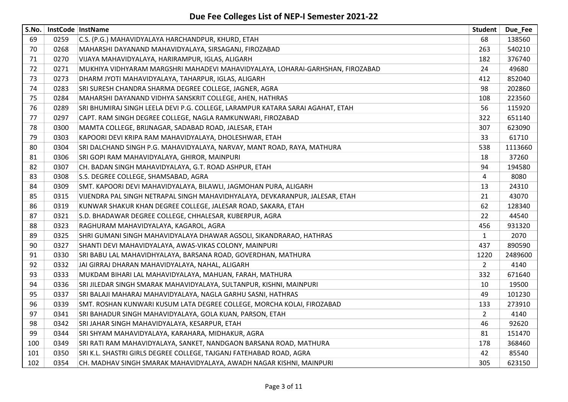| S.No. |      | InstCode InstName                                                              | <b>Student</b> | Due_Fee |
|-------|------|--------------------------------------------------------------------------------|----------------|---------|
| 69    | 0259 | C.S. (P.G.) MAHAVIDYALAYA HARCHANDPUR, KHURD, ETAH                             | 68             | 138560  |
| 70    | 0268 | MAHARSHI DAYANAND MAHAVIDYALAYA, SIRSAGANJ, FIROZABAD                          | 263            | 540210  |
| 71    | 0270 | VIJAYA MAHAVIDYALAYA, HARIRAMPUR, IGLAS, ALIGARH                               | 182            | 376740  |
| 72    | 0271 | MUKHIYA VIDHYARAM MARGSHRI MAHADEVI MAHAVIDYALAYA, LOHARAI-GARHSHAN, FIROZABAD | 24             | 49680   |
| 73    | 0273 | DHARM JYOTI MAHAVIDYALAYA, TAHARPUR, IGLAS, ALIGARH                            | 412            | 852040  |
| 74    | 0283 | SRI SURESH CHANDRA SHARMA DEGREE COLLEGE, JAGNER, AGRA                         | 98             | 202860  |
| 75    | 0284 | MAHARSHI DAYANAND VIDHYA SANSKRIT COLLEGE, AHEN, HATHRAS                       | 108            | 223560  |
| 76    | 0289 | SRI BHUMIRAJ SINGH LEELA DEVI P.G. COLLEGE, LARAMPUR KATARA SARAI AGAHAT, ETAH | 56             | 115920  |
| 77    | 0297 | CAPT. RAM SINGH DEGREE COLLEGE, NAGLA RAMKUNWARI, FIROZABAD                    | 322            | 651140  |
| 78    | 0300 | MAMTA COLLEGE, BRIJNAGAR, SADABAD ROAD, JALESAR, ETAH                          | 307            | 623090  |
| 79    | 0303 | KAPOORI DEVI KRIPA RAM MAHAVIDYALAYA, DHOLESHWAR, ETAH                         | 33             | 61710   |
| 80    | 0304 | SRI DALCHAND SINGH P.G. MAHAVIDYALAYA, NARVAY, MANT ROAD, RAYA, MATHURA        | 538            | 1113660 |
| 81    | 0306 | SRI GOPI RAM MAHAVIDYALAYA, GHIROR, MAINPURI                                   | 18             | 37260   |
| 82    | 0307 | CH. BADAN SINGH MAHAVIDYALAYA, G.T. ROAD ASHPUR, ETAH                          | 94             | 194580  |
| 83    | 0308 | S.S. DEGREE COLLEGE, SHAMSABAD, AGRA                                           | 4              | 8080    |
| 84    | 0309 | SMT. KAPOORI DEVI MAHAVIDYALAYA, BILAWLI, JAGMOHAN PURA, ALIGARH               | 13             | 24310   |
| 85    | 0315 | VIJENDRA PAL SINGH NETRAPAL SINGH MAHAVIDHYALAYA, DEVKARANPUR, JALESAR, ETAH   | 21             | 43070   |
| 86    | 0319 | KUNWAR SHAKUR KHAN DEGREE COLLEGE, JALESAR ROAD, SAKARA, ETAH                  | 62             | 128340  |
| 87    | 0321 | S.D. BHADAWAR DEGREE COLLEGE, CHHALESAR, KUBERPUR, AGRA                        | 22             | 44540   |
| 88    | 0323 | RAGHURAM MAHAVIDYALAYA, KAGAROL, AGRA                                          | 456            | 931320  |
| 89    | 0325 | SHRI GUMANI SINGH MAHAVIDYALAYA DHAWAR AGSOLI, SIKANDRARAO, HATHRAS            | $\mathbf{1}$   | 2070    |
| 90    | 0327 | SHANTI DEVI MAHAVIDYALAYA, AWAS-VIKAS COLONY, MAINPURI                         | 437            | 890590  |
| 91    | 0330 | SRI BABU LAL MAHAVIDHYALAYA, BARSANA ROAD, GOVERDHAN, MATHURA                  | 1220           | 2489600 |
| 92    | 0332 | JAI GIRRAJ DHARAN MAHAVIDYALAYA, NAHAL, ALIGARH                                | $\overline{2}$ | 4140    |
| 93    | 0333 | MUKDAM BIHARI LAL MAHAVIDYALAYA, MAHUAN, FARAH, MATHURA                        | 332            | 671640  |
| 94    | 0336 | SRI JILEDAR SINGH SMARAK MAHAVIDYALAYA, SULTANPUR, KISHNI, MAINPURI            | 10             | 19500   |
| 95    | 0337 | SRI BALAJI MAHARAJ MAHAVIDYALAYA, NAGLA GARHU SASNI, HATHRAS                   | 49             | 101230  |
| 96    | 0339 | SMT. ROSHAN KUNWARI KUSUM LATA DEGREE COLLEGE, MORCHA KOLAI, FIROZABAD         | 133            | 273910  |
| 97    | 0341 | SRI BAHADUR SINGH MAHAVIDYALAYA, GOLA KUAN, PARSON, ETAH                       | $\overline{2}$ | 4140    |
| 98    | 0342 | SRI JAHAR SINGH MAHAVIDYALAYA, KESARPUR, ETAH                                  | 46             | 92620   |
| 99    | 0344 | SRI SHYAM MAHAVIDYALAYA, KARAHARA, MIDHAKUR, AGRA                              | 81             | 151470  |
| 100   | 0349 | SRI RATI RAM MAHAVIDYALAYA, SANKET, NANDGAON BARSANA ROAD, MATHURA             | 178            | 368460  |
| 101   | 0350 | SRI K.L. SHASTRI GIRLS DEGREE COLLEGE, TAJGANJ FATEHABAD ROAD, AGRA            | 42             | 85540   |
| 102   | 0354 | CH. MADHAV SINGH SMARAK MAHAVIDYALAYA, AWADH NAGAR KISHNI, MAINPURI            | 305            | 623150  |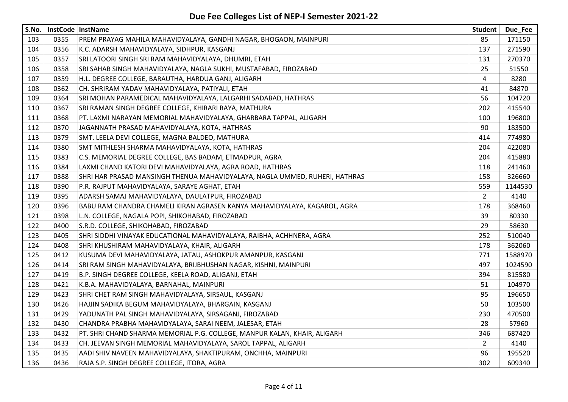| S.No. |      | InstCode InstName                                                           | <b>Student</b> | Due Fee |
|-------|------|-----------------------------------------------------------------------------|----------------|---------|
| 103   | 0355 | PREM PRAYAG MAHILA MAHAVIDYALAYA, GANDHI NAGAR, BHOGAON, MAINPURI           | 85             | 171150  |
| 104   | 0356 | K.C. ADARSH MAHAVIDYALAYA, SIDHPUR, KASGANJ                                 | 137            | 271590  |
| 105   | 0357 | SRI LATOORI SINGH SRI RAM MAHAVIDYALAYA, DHUMRI, ETAH                       | 131            | 270370  |
| 106   | 0358 | SRI SAHAB SINGH MAHAVIDYALAYA, NAGLA SUKHI, MUSTAFABAD, FIROZABAD           | 25             | 51550   |
| 107   | 0359 | H.L. DEGREE COLLEGE, BARAUTHA, HARDUA GANJ, ALIGARH                         | 4              | 8280    |
| 108   | 0362 | CH. SHRIRAM YADAV MAHAVIDYALAYA, PATIYALI, ETAH                             | 41             | 84870   |
| 109   | 0364 | SRI MOHAN PARAMEDICAL MAHAVIDYALAYA, LALGARHI SADABAD, HATHRAS              | 56             | 104720  |
| 110   | 0367 | SRI RAMAN SINGH DEGREE COLLEGE, KHIRARI RAYA, MATHURA                       | 202            | 415540  |
| 111   | 0368 | PT. LAXMI NARAYAN MEMORIAL MAHAVIDYALAYA, GHARBARA TAPPAL, ALIGARH          | 100            | 196800  |
| 112   | 0370 | JAGANNATH PRASAD MAHAVIDYALAYA, KOTA, HATHRAS                               | 90             | 183500  |
| 113   | 0379 | SMT. LEELA DEVI COLLEGE, MAGNA BALDEO, MATHURA                              | 414            | 774980  |
| 114   | 0380 | SMT MITHLESH SHARMA MAHAVIDYALAYA, KOTA, HATHRAS                            | 204            | 422080  |
| 115   | 0383 | C.S. MEMORIAL DEGREE COLLEGE, BAS BADAM, ETMADPUR, AGRA                     | 204            | 415880  |
| 116   | 0384 | LAXMI CHAND KATORI DEVI MAHAVIDYALAYA, AGRA ROAD, HATHRAS                   | 118            | 241460  |
| 117   | 0388 | SHRI HAR PRASAD MANSINGH THENUA MAHAVIDYALAYA, NAGLA UMMED, RUHERI, HATHRAS | 158            | 326660  |
| 118   | 0390 | P.R. RAJPUT MAHAVIDYALAYA, SARAYE AGHAT, ETAH                               | 559            | 1144530 |
| 119   | 0395 | ADARSH SAMAJ MAHAVIDYALAYA, DAULATPUR, FIROZABAD                            | $\overline{2}$ | 4140    |
| 120   | 0396 | BABU RAM CHANDRA CHAMELI KIRAN AGRASEN KANYA MAHAVIDYALAYA, KAGAROL, AGRA   | 178            | 368460  |
| 121   | 0398 | L.N. COLLEGE, NAGALA POPI, SHIKOHABAD, FIROZABAD                            | 39             | 80330   |
| 122   | 0400 | S.R.D. COLLEGE, SHIKOHABAD, FIROZABAD                                       | 29             | 58630   |
| 123   | 0405 | SHRI SIDDHI VINAYAK EDUCATIONAL MAHAVIDYALAYA, RAIBHA, ACHHNERA, AGRA       | 252            | 510040  |
| 124   | 0408 | SHRI KHUSHIRAM MAHAVIDYALAYA, KHAIR, ALIGARH                                | 178            | 362060  |
| 125   | 0412 | KUSUMA DEVI MAHAVIDYALAYA, JATAU, ASHOKPUR AMANPUR, KASGANJ                 | 771            | 1588970 |
| 126   | 0414 | SRI RAM SINGH MAHAVIDYALAYA, BRIJBHUSHAN NAGAR, KISHNI, MAINPURI            | 497            | 1024590 |
| 127   | 0419 | B.P. SINGH DEGREE COLLEGE, KEELA ROAD, ALIGANJ, ETAH                        | 394            | 815580  |
| 128   | 0421 | K.B.A. MAHAVIDYALAYA, BARNAHAL, MAINPURI                                    | 51             | 104970  |
| 129   | 0423 | SHRI CHET RAM SINGH MAHAVIDYALAYA, SIRSAUL, KASGANJ                         | 95             | 196650  |
| 130   | 0426 | HAJJIN SADIKA BEGUM MAHAVIDYALAYA, BHARGAIN, KASGANJ                        | 50             | 103500  |
| 131   | 0429 | YADUNATH PAL SINGH MAHAVIDYALAYA, SIRSAGANJ, FIROZABAD                      | 230            | 470500  |
| 132   | 0430 | CHANDRA PRABHA MAHAVIDYALAYA, SARAI NEEM, JALESAR, ETAH                     | 28             | 57960   |
| 133   | 0432 | PT. SHRI CHAND SHARMA MEMORIAL P.G. COLLEGE, MANPUR KALAN, KHAIR, ALIGARH   | 346            | 687420  |
| 134   | 0433 | CH. JEEVAN SINGH MEMORIAL MAHAVIDYALAYA, SAROL TAPPAL, ALIGARH              | $\overline{2}$ | 4140    |
| 135   | 0435 | AADI SHIV NAVEEN MAHAVIDYALAYA, SHAKTIPURAM, ONCHHA, MAINPURI               | 96             | 195520  |
| 136   | 0436 | RAJA S.P. SINGH DEGREE COLLEGE, ITORA, AGRA                                 | 302            | 609340  |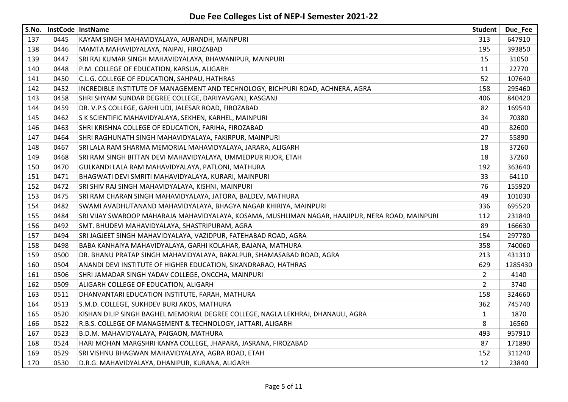| S.No. |      | InstCode InstName                                                                                | Student               | Due_Fee |
|-------|------|--------------------------------------------------------------------------------------------------|-----------------------|---------|
| 137   | 0445 | KAYAM SINGH MAHAVIDYALAYA, AURANDH, MAINPURI                                                     | 313                   | 647910  |
| 138   | 0446 | MAMTA MAHAVIDYALAYA, NAIPAI, FIROZABAD                                                           | 195                   | 393850  |
| 139   | 0447 | SRI RAJ KUMAR SINGH MAHAVIDYALAYA, BHAWANIPUR, MAINPURI                                          | 15                    | 31050   |
| 140   | 0448 | P.M. COLLEGE OF EDUCATION, KARSUA, ALIGARH                                                       | 11                    | 22770   |
| 141   | 0450 | C.L.G. COLLEGE OF EDUCATION, SAHPAU, HATHRAS                                                     | 52                    | 107640  |
| 142   | 0452 | INCREDIBLE INSTITUTE OF MANAGEMENT AND TECHNOLOGY, BICHPURI ROAD, ACHNERA, AGRA                  | 158                   | 295460  |
| 143   | 0458 | SHRI SHYAM SUNDAR DEGREE COLLEGE, DARIYAVGANJ, KASGANJ                                           | 406                   | 840420  |
| 144   | 0459 | DR. V.P.S COLLEGE, GARHI UDI, JALESAR ROAD, FIROZABAD                                            | 82                    | 169540  |
| 145   | 0462 | S K SCIENTIFIC MAHAVIDYALAYA, SEKHEN, KARHEL, MAINPURI                                           | 34                    | 70380   |
| 146   | 0463 | SHRI KRISHNA COLLEGE OF EDUCATION, FARIHA, FIROZABAD                                             | 40                    | 82600   |
| 147   | 0464 | SHRI RAGHUNATH SINGH MAHAVIDYALAYA, FAKIRPUR, MAINPURI                                           | 27                    | 55890   |
| 148   | 0467 | SRI LALA RAM SHARMA MEMORIAL MAHAVIDYALAYA, JARARA, ALIGARH                                      | 18                    | 37260   |
| 149   | 0468 | SRI RAM SINGH BITTAN DEVI MAHAVIDYALAYA, UMMEDPUR RIJOR, ETAH                                    | 18                    | 37260   |
| 150   | 0470 | GULKANDI LALA RAM MAHAVIDYALAYA, PATLONI, MATHURA                                                | 192                   | 363640  |
| 151   | 0471 | BHAGWATI DEVI SMRITI MAHAVIDYALAYA, KURARI, MAINPURI                                             | 33                    | 64110   |
| 152   | 0472 | SRI SHIV RAJ SINGH MAHAVIDYALAYA, KISHNI, MAINPURI                                               | 76                    | 155920  |
| 153   | 0475 | SRI RAM CHARAN SINGH MAHAVIDYALAYA, JATORA, BALDEV, MATHURA                                      | 49                    | 101030  |
| 154   | 0482 | SWAMI AVADHUTANAND MAHAVIDYALAYA, BHAGYA NAGAR KHIRIYA, MAINPURI                                 | 336                   | 695520  |
| 155   | 0484 | SRI VIJAY SWAROOP MAHARAJA MAHAVIDYALAYA, KOSAMA, MUSHLIMAN NAGAR, HAAJIPUR, NERA ROAD, MAINPURI | 112                   | 231840  |
| 156   | 0492 | SMT. BHUDEVI MAHAVIDYALAYA, SHASTRIPURAM, AGRA                                                   | 89                    | 166630  |
| 157   | 0494 | SRI JAGJEET SINGH MAHAVIDYALAYA, VAZIDPUR, FATEHABAD ROAD, AGRA                                  | 154                   | 297780  |
| 158   | 0498 | BABA KANHAIYA MAHAVIDYALAYA, GARHI KOLAHAR, BAJANA, MATHURA                                      | 358                   | 740060  |
| 159   | 0500 | DR. BHANU PRATAP SINGH MAHAVIDYALAYA, BAKALPUR, SHAMASABAD ROAD, AGRA                            | 213                   | 431310  |
| 160   | 0504 | ANANDI DEVI INSTITUTE OF HIGHER EDUCATION, SIKANDRARAO, HATHRAS                                  | 629                   | 1285430 |
| 161   | 0506 | SHRI JAMADAR SINGH YADAV COLLEGE, ONCCHA, MAINPURI                                               | $\overline{2}$        | 4140    |
| 162   | 0509 | ALIGARH COLLEGE OF EDUCATION, ALIGARH                                                            | $\mathbf{2}^{\prime}$ | 3740    |
| 163   | 0511 | DHANVANTARI EDUCATION INSTITUTE, FARAH, MATHURA                                                  | 158                   | 324660  |
| 164   | 0513 | S.M.D. COLLEGE, SUKHDEV BURJ AKOS, MATHURA                                                       | 362                   | 745740  |
| 165   | 0520 | KISHAN DILIP SINGH BAGHEL MEMORIAL DEGREE COLLEGE, NAGLA LEKHRAJ, DHANAULI, AGRA                 | $\mathbf{1}$          | 1870    |
| 166   | 0522 | R.B.S. COLLEGE OF MANAGEMENT & TECHNOLOGY, JATTARI, ALIGARH                                      | 8                     | 16560   |
| 167   | 0523 | B.D.M. MAHAVIDYALAYA, PAIGAON, MATHURA                                                           | 493                   | 957910  |
| 168   | 0524 | HARI MOHAN MARGSHRI KANYA COLLEGE, JHAPARA, JASRANA, FIROZABAD                                   | 87                    | 171890  |
| 169   | 0529 | SRI VISHNU BHAGWAN MAHAVIDYALAYA, AGRA ROAD, ETAH                                                | 152                   | 311240  |
| 170   | 0530 | D.R.G. MAHAVIDYALAYA, DHANIPUR, KURANA, ALIGARH                                                  | 12                    | 23840   |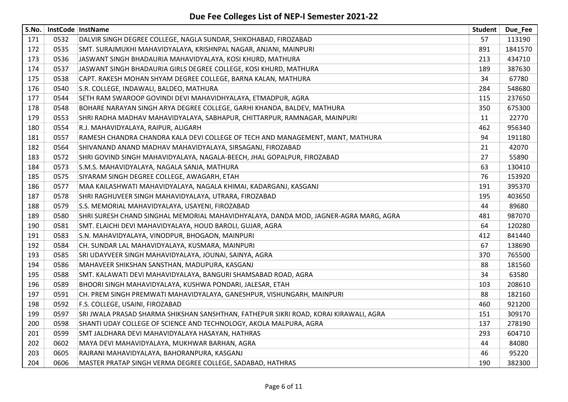| S.No. |      | InstCode InstName                                                                     | Student | Due Fee |
|-------|------|---------------------------------------------------------------------------------------|---------|---------|
| 171   | 0532 | DALVIR SINGH DEGREE COLLEGE, NAGLA SUNDAR, SHIKOHABAD, FIROZABAD                      | 57      | 113190  |
| 172   | 0535 | SMT. SURAJMUKHI MAHAVIDYALAYA, KRISHNPAL NAGAR, ANJANI, MAINPURI                      | 891     | 1841570 |
| 173   | 0536 | JASWANT SINGH BHADAURIA MAHAVIDYALAYA, KOSI KHURD, MATHURA                            | 213     | 434710  |
| 174   | 0537 | JASWANT SINGH BHADAURIA GIRLS DEGREE COLLEGE, KOSI KHURD, MATHURA                     | 189     | 387630  |
| 175   | 0538 | CAPT. RAKESH MOHAN SHYAM DEGREE COLLEGE, BARNA KALAN, MATHURA                         | 34      | 67780   |
| 176   | 0540 | S.R. COLLEGE, INDAWALI, BALDEO, MATHURA                                               | 284     | 548680  |
| 177   | 0544 | SETH RAM SWAROOP GOVINDI DEVI MAHAVIDHYALAYA, ETMADPUR, AGRA                          | 115     | 237650  |
| 178   | 0548 | BOHARE NARAYAN SINGH ARYA DEGREE COLLEGE, GARHI KHANDA, BALDEV, MATHURA               | 350     | 675300  |
| 179   | 0553 | SHRI RADHA MADHAV MAHAVIDYALAYA, SABHAPUR, CHITTARPUR, RAMNAGAR, MAINPURI             | 11      | 22770   |
| 180   | 0554 | R.J. MAHAVIDYALAYA, RAIPUR, ALIGARH                                                   | 462     | 956340  |
| 181   | 0557 | RAMESH CHANDRA CHANDRA KALA DEVI COLLEGE OF TECH AND MANAGEMENT, MANT, MATHURA        | 94      | 191180  |
| 182   | 0564 | SHIVANAND ANAND MADHAV MAHAVIDYALAYA, SIRSAGANJ, FIROZABAD                            | 21      | 42070   |
| 183   | 0572 | SHRI GOVIND SINGH MAHAVIDYALAYA, NAGALA-BEECH, JHAL GOPALPUR, FIROZABAD               | 27      | 55890   |
| 184   | 0573 | S.M.S. MAHAVIDYALAYA, NAGALA SANJA, MATHURA                                           | 63      | 130410  |
| 185   | 0575 | SIYARAM SINGH DEGREE COLLEGE, AWAGARH, ETAH                                           | 76      | 153920  |
| 186   | 0577 | MAA KAILASHWATI MAHAVIDYALAYA, NAGALA KHIMAI, KADARGANJ, KASGANJ                      | 191     | 395370  |
| 187   | 0578 | SHRI RAGHUVEER SINGH MAHAVIDYALAYA, UTRARA, FIROZABAD                                 | 195     | 403650  |
| 188   | 0579 | S.S. MEMORIAL MAHAVIDYALAYA, USAYENI, FIROZABAD                                       | 44      | 89680   |
| 189   | 0580 | SHRI SURESH CHAND SINGHAL MEMORIAL MAHAVIDHYALAYA, DANDA MOD, JAGNER-AGRA MARG, AGRA  | 481     | 987070  |
| 190   | 0581 | SMT. ELAICHI DEVI MAHAVIDYALAYA, HOUD BAROLI, GUJAR, AGRA                             | 64      | 120280  |
| 191   | 0583 | S.N. MAHAVIDYALAYA, VINODPUR, BHOGAON, MAINPURI                                       | 412     | 841440  |
| 192   | 0584 | CH. SUNDAR LAL MAHAVIDYALAYA, KUSMARA, MAINPURI                                       | 67      | 138690  |
| 193   | 0585 | SRI UDAYVEER SINGH MAHAVIDYALAYA, JOUNAI, SAINYA, AGRA                                | 370     | 765500  |
| 194   | 0586 | MAHAVEER SHIKSHAN SANSTHAN, MADUPURA, KASGANJ                                         | 88      | 181560  |
| 195   | 0588 | SMT. KALAWATI DEVI MAHAVIDYALAYA, BANGURI SHAMSABAD ROAD, AGRA                        | 34      | 63580   |
| 196   | 0589 | BHOORI SINGH MAHAVIDYALAYA, KUSHWA PONDARI, JALESAR, ETAH                             | 103     | 208610  |
| 197   | 0591 | CH. PREM SINGH PREMWATI MAHAVIDYALAYA, GANESHPUR, VISHUNGARH, MAINPURI                | 88      | 182160  |
| 198   | 0592 | F.S. COLLEGE, USAINI, FIROZABAD                                                       | 460     | 921200  |
| 199   | 0597 | SRI JWALA PRASAD SHARMA SHIKSHAN SANSHTHAN, FATHEPUR SIKRI ROAD, KORAI KIRAWALI, AGRA | 151     | 309170  |
| 200   | 0598 | SHANTI UDAY COLLEGE OF SCIENCE AND TECHNOLOGY, AKOLA MALPURA, AGRA                    | 137     | 278190  |
| 201   | 0599 | SMT JALDHARA DEVI MAHAVIDYALAYA HASAYAN, HATHRAS                                      | 293     | 604710  |
| 202   | 0602 | MAYA DEVI MAHAVIDYALAYA, MUKHWAR BARHAN, AGRA                                         | 44      | 84080   |
| 203   | 0605 | RAJRANI MAHAVIDYALAYA, BAHORANPURA, KASGANJ                                           | 46      | 95220   |
| 204   | 0606 | MASTER PRATAP SINGH VERMA DEGREE COLLEGE, SADABAD, HATHRAS                            | 190     | 382300  |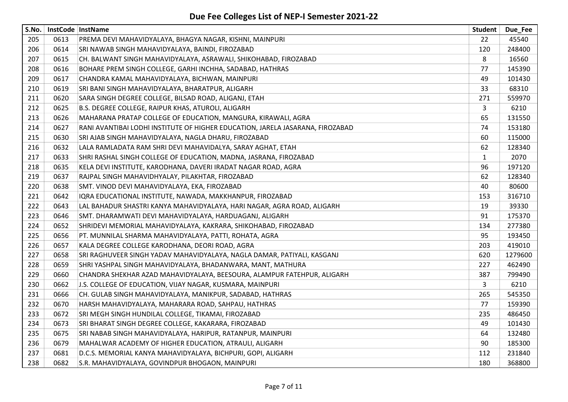| S.No. |      | InstCode InstName                                                              | <b>Student</b> | Due_Fee |
|-------|------|--------------------------------------------------------------------------------|----------------|---------|
| 205   | 0613 | PREMA DEVI MAHAVIDYALAYA, BHAGYA NAGAR, KISHNI, MAINPURI                       | 22             | 45540   |
| 206   | 0614 | SRI NAWAB SINGH MAHAVIDYALAYA, BAINDI, FIROZABAD                               | 120            | 248400  |
| 207   | 0615 | CH. BALWANT SINGH MAHAVIDYALAYA, ASRAWALI, SHIKOHABAD, FIROZABAD               | 8              | 16560   |
| 208   | 0616 | BOHARE PREM SINGH COLLEGE, GARHI INCHHA, SADABAD, HATHRAS                      | 77             | 145390  |
| 209   | 0617 | CHANDRA KAMAL MAHAVIDYALAYA, BICHWAN, MAINPURI                                 | 49             | 101430  |
| 210   | 0619 | SRI BANI SINGH MAHAVIDYALAYA, BHARATPUR, ALIGARH                               | 33             | 68310   |
| 211   | 0620 | SARA SINGH DEGREE COLLEGE, BILSAD ROAD, ALIGANJ, ETAH                          | 271            | 559970  |
| 212   | 0625 | B.S. DEGREE COLLEGE, RAIPUR KHAS, ATUROLI, ALIGARH                             | 3              | 6210    |
| 213   | 0626 | MAHARANA PRATAP COLLEGE OF EDUCATION, MANGURA, KIRAWALI, AGRA                  | 65             | 131550  |
| 214   | 0627 | RANI AVANTIBAI LODHI INSTITUTE OF HIGHER EDUCATION, JARELA JASARANA, FIROZABAD | 74             | 153180  |
| 215   | 0630 | SRI AJAB SINGH MAHAVIDYALAYA, NAGLA DHARU, FIROZABAD                           | 60             | 115000  |
| 216   | 0632 | LALA RAMLADATA RAM SHRI DEVI MAHAVIDALYA, SARAY AGHAT, ETAH                    | 62             | 128340  |
| 217   | 0633 | SHRI RASHAL SINGH COLLEGE OF EDUCATION, MADNA, JASRANA, FIROZABAD              | $\mathbf{1}$   | 2070    |
| 218   | 0635 | KELA DEVI INSTITUTE, KARODHANA, DAVERI IRADAT NAGAR ROAD, AGRA                 | 96             | 197120  |
| 219   | 0637 | RAJPAL SINGH MAHAVIDHYALAY, PILAKHTAR, FIROZABAD                               | 62             | 128340  |
| 220   | 0638 | SMT. VINOD DEVI MAHAVIDYALAYA, EKA, FIROZABAD                                  | 40             | 80600   |
| 221   | 0642 | IQRA EDUCATIONAL INSTITUTE, NAWADA, MAKKHANPUR, FIROZABAD                      | 153            | 316710  |
| 222   | 0643 | LAL BAHADUR SHASTRI KANYA MAHAVIDYALAYA, HARI NAGAR, AGRA ROAD, ALIGARH        | 19             | 39330   |
| 223   | 0646 | SMT. DHARAMWATI DEVI MAHAVIDYALAYA, HARDUAGANJ, ALIGARH                        | 91             | 175370  |
| 224   | 0652 | SHRIDEVI MEMORIAL MAHAVIDYALAYA, KAKRARA, SHIKOHABAD, FIROZABAD                | 134            | 277380  |
| 225   | 0656 | PT. MUNNILAL SHARMA MAHAVIDYALAYA, PATTI, ROHATA, AGRA                         | 95             | 193450  |
| 226   | 0657 | KALA DEGREE COLLEGE KARODHANA, DEORI ROAD, AGRA                                | 203            | 419010  |
| 227   | 0658 | SRI RAGHUVEER SINGH YADAV MAHAVIDYALAYA, NAGLA DAMAR, PATIYALI, KASGANJ        | 620            | 1279600 |
| 228   | 0659 | SHRI YASHPAL SINGH MAHAVIDYALAYA, BHADANWARA, MANT, MATHURA                    | 227            | 462490  |
| 229   | 0660 | CHANDRA SHEKHAR AZAD MAHAVIDYALAYA, BEESOURA, ALAMPUR FATEHPUR, ALIGARH        | 387            | 799490  |
| 230   | 0662 | J.S. COLLEGE OF EDUCATION, VIJAY NAGAR, KUSMARA, MAINPURI                      | 3              | 6210    |
| 231   | 0666 | CH. GULAB SINGH MAHAVIDYALAYA, MANIKPUR, SADABAD, HATHRAS                      | 265            | 545350  |
| 232   | 0670 | HARSH MAHAVIDYALAYA, MAHARARA ROAD, SAHPAU, HATHRAS                            | 77             | 159390  |
| 233   | 0672 | SRI MEGH SINGH HUNDILAL COLLEGE, TIKAMAI, FIROZABAD                            | 235            | 486450  |
| 234   | 0673 | SRI BHARAT SINGH DEGREE COLLEGE, KAKARARA, FIROZABAD                           | 49             | 101430  |
| 235   | 0675 | SRI NABAB SINGH MAHAVIDYALAYA, HARIPUR, RATANPUR, MAINPURI                     | 64             | 132480  |
| 236   | 0679 | MAHALWAR ACADEMY OF HIGHER EDUCATION, ATRAULI, ALIGARH                         | 90             | 185300  |
| 237   | 0681 | D.C.S. MEMORIAL KANYA MAHAVIDYALAYA, BICHPURI, GOPI, ALIGARH                   | 112            | 231840  |
| 238   | 0682 | S.R. MAHAVIDYALAYA, GOVINDPUR BHOGAON, MAINPURI                                | 180            | 368800  |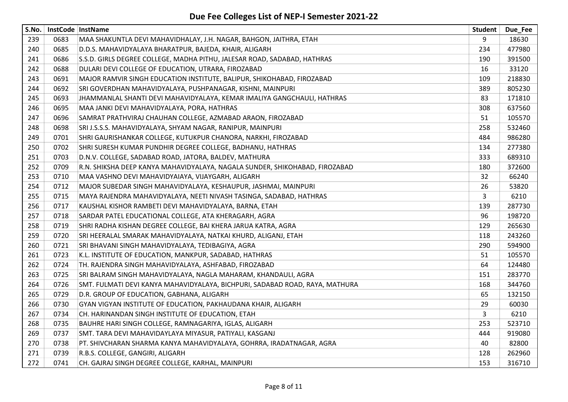| S.No. |      | InstCode InstName                                                            | Student | Due_Fee |
|-------|------|------------------------------------------------------------------------------|---------|---------|
| 239   | 0683 | MAA SHAKUNTLA DEVI MAHAVIDHALAY, J.H. NAGAR, BAHGON, JAITHRA, ETAH           | 9       | 18630   |
| 240   | 0685 | D.D.S. MAHAVIDYALAYA BHARATPUR, BAJEDA, KHAIR, ALIGARH                       | 234     | 477980  |
| 241   | 0686 | S.S.D. GIRLS DEGREE COLLEGE, MADHA PITHU, JALESAR ROAD, SADABAD, HATHRAS     | 190     | 391500  |
| 242   | 0688 | DULARI DEVI COLLEGE OF EDUCATION, UTRARA, FIROZABAD                          | 16      | 33120   |
| 243   | 0691 | MAJOR RAMVIR SINGH EDUCATION INSTITUTE, BALIPUR, SHIKOHABAD, FIROZABAD       | 109     | 218830  |
| 244   | 0692 | SRI GOVERDHAN MAHAVIDYALAYA, PUSHPANAGAR, KISHNI, MAINPURI                   | 389     | 805230  |
| 245   | 0693 | JHAMMANLAL SHANTI DEVI MAHAVIDYALAYA, KEMAR IMALIYA GANGCHAULI, HATHRAS      | 83      | 171810  |
| 246   | 0695 | MAA JANKI DEVI MAHAVIDYALAYA, PORA, HATHRAS                                  | 308     | 637560  |
| 247   | 0696 | SAMRAT PRATHVIRAJ CHAUHAN COLLEGE, AZMABAD ARAON, FIROZABAD                  | 51      | 105570  |
| 248   | 0698 | SRI J.S.S.S. MAHAVIDYALAYA, SHYAM NAGAR, RANIPUR, MAINPURI                   | 258     | 532460  |
| 249   | 0701 | SHRI GAURISHANKAR COLLEGE, KUTUKPUR CHANORA, NARKHI, FIROZABAD               | 484     | 986280  |
| 250   | 0702 | SHRI SURESH KUMAR PUNDHIR DEGREE COLLEGE, BADHANU, HATHRAS                   | 134     | 277380  |
| 251   | 0703 | D.N.V. COLLEGE, SADABAD ROAD, JATORA, BALDEV, MATHURA                        | 333     | 689310  |
| 252   | 0709 | R.N. SHIKSHA DEEP KANYA MAHAVIDYALAYA, NAGALA SUNDER, SHIKOHABAD, FIROZABAD  | 180     | 372600  |
| 253   | 0710 | MAA VASHNO DEVI MAHAVIDYAIAYA, VIJAYGARH, ALIGARH                            | 32      | 66240   |
| 254   | 0712 | MAJOR SUBEDAR SINGH MAHAVIDYALAYA, KESHAUPUR, JASHMAI, MAINPURI              | 26      | 53820   |
| 255   | 0715 | MAYA RAJENDRA MAHAVIDYALAYA, NEETI NIVASH TASINGA, SADABAD, HATHRAS          | 3       | 6210    |
| 256   | 0717 | KAUSHAL KISHOR RAMBETI DEVI MAHAVIDYALAYA, BARNA, ETAH                       | 139     | 287730  |
| 257   | 0718 | SARDAR PATEL EDUCATIONAL COLLEGE, ATA KHERAGARH, AGRA                        | 96      | 198720  |
| 258   | 0719 | SHRI RADHA KISHAN DEGREE COLLEGE, BAI KHERA JARUA KATRA, AGRA                | 129     | 265630  |
| 259   | 0720 | SRI HEERALAL SMARAK MAHAVIDYALAYA, NATKAI KHURD, ALIGANJ, ETAH               | 118     | 243260  |
| 260   | 0721 | SRI BHAVANI SINGH MAHAVIDYALAYA, TEDIBAGIYA, AGRA                            | 290     | 594900  |
| 261   | 0723 | K.L. INSTITUTE OF EDUCATION, MANKPUR, SADABAD, HATHRAS                       | 51      | 105570  |
| 262   | 0724 | TH. RAJENDRA SINGH MAHAVIDYALAYA, ASHFABAD, FIROZABAD                        | 64      | 124480  |
| 263   | 0725 | SRI BALRAM SINGH MAHAVIDYALAYA, NAGLA MAHARAM, KHANDAULI, AGRA               | 151     | 283770  |
| 264   | 0726 | SMT. FULMATI DEVI KANYA MAHAVIDYALAYA, BICHPURI, SADABAD ROAD, RAYA, MATHURA | 168     | 344760  |
| 265   | 0729 | D.R. GROUP OF EDUCATION, GABHANA, ALIGARH                                    | 65      | 132150  |
| 266   | 0730 | GYAN VIGYAN INSTITUTE OF EDUCATION, PAKHAUDANA KHAIR, ALIGARH                | 29      | 60030   |
| 267   | 0734 | CH. HARINANDAN SINGH INSTITUTE OF EDUCATION, ETAH                            | 3       | 6210    |
| 268   | 0735 | BAUHRE HARI SINGH COLLEGE, RAMNAGARIYA, IGLAS, ALIGARH                       | 253     | 523710  |
| 269   | 0737 | SMT. TARA DEVI MAHAVIDAYLAYA MIYASUR, PATIYALI, KASGANJ                      | 444     | 919080  |
| 270   | 0738 | PT. SHIVCHARAN SHARMA KANYA MAHAVIDYALAYA, GOHRRA, IRADATNAGAR, AGRA         | 40      | 82800   |
| 271   | 0739 | R.B.S. COLLEGE, GANGIRI, ALIGARH                                             | 128     | 262960  |
| 272   | 0741 | CH. GAJRAJ SINGH DEGREE COLLEGE, KARHAL, MAINPURI                            | 153     | 316710  |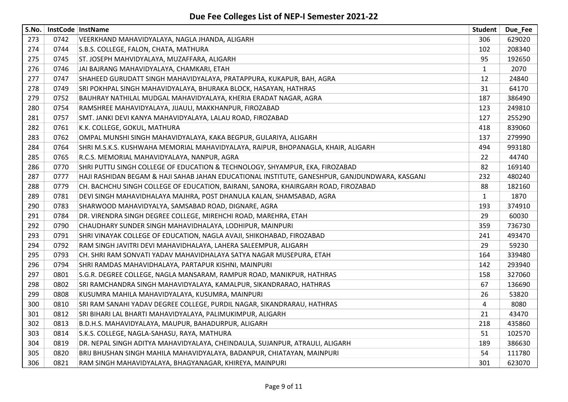| S.No. |      | InstCode InstName                                                                              | <b>Student</b> | Due Fee |
|-------|------|------------------------------------------------------------------------------------------------|----------------|---------|
| 273   | 0742 | VEERKHAND MAHAVIDYALAYA, NAGLA JHANDA, ALIGARH                                                 | 306            | 629020  |
| 274   | 0744 | S.B.S. COLLEGE, FALON, CHATA, MATHURA                                                          | 102            | 208340  |
| 275   | 0745 | ST. JOSEPH MAHVIDYALAYA, MUZAFFARA, ALIGARH                                                    | 95             | 192650  |
| 276   | 0746 | JAI BAJRANG MAHAVIDYALAYA, CHAMKARI, ETAH                                                      | $\mathbf{1}$   | 2070    |
| 277   | 0747 | SHAHEED GURUDATT SINGH MAHAVIDYALAYA, PRATAPPURA, KUKAPUR, BAH, AGRA                           | 12             | 24840   |
| 278   | 0749 | SRI POKHPAL SINGH MAHAVIDYALAYA, BHURAKA BLOCK, HASAYAN, HATHRAS                               | 31             | 64170   |
| 279   | 0752 | BAUHRAY NATHILAL MUDGAL MAHAVIDYALAYA, KHERIA ERADAT NAGAR, AGRA                               | 187            | 386490  |
| 280   | 0754 | RAMSHREE MAHAVIDYALAYA, JIJAULI, MAKKHANPUR, FIROZABAD                                         | 123            | 249810  |
| 281   | 0757 | SMT. JANKI DEVI KANYA MAHAVIDYALAYA, LALAU ROAD, FIROZABAD                                     | 127            | 255290  |
| 282   | 0761 | K.K. COLLEGE, GOKUL, MATHURA                                                                   | 418            | 839060  |
| 283   | 0762 | OMPAL MUNSHI SINGH MAHAVIDYALAYA, KAKA BEGPUR, GULARIYA, ALIGARH                               | 137            | 279990  |
| 284   | 0764 | SHRI M.S.K.S. KUSHWAHA MEMORIAL MAHAVIDYALAYA, RAIPUR, BHOPANAGLA, KHAIR, ALIGARH              | 494            | 993180  |
| 285   | 0765 | R.C.S. MEMORIAL MAHAVIDYALAYA, NANPUR, AGRA                                                    | 22             | 44740   |
| 286   | 0770 | SHRI PUTTU SINGH COLLEGE OF EDUCATION & TECHNOLOGY, SHYAMPUR, EKA, FIROZABAD                   | 82             | 169140  |
| 287   | 0777 | HAJI RASHIDAN BEGAM & HAJI SAHAB JAHAN EDUCATIONAL INSTITUTE, GANESHPUR, GANJDUNDWARA, KASGANJ | 232            | 480240  |
| 288   | 0779 | CH. BACHCHU SINGH COLLEGE OF EDUCATION, BAIRANI, SANORA, KHAIRGARH ROAD, FIROZABAD             | 88             | 182160  |
| 289   | 0781 | DEVI SINGH MAHAVIDHALAYA MAJHRA, POST DHANULA KALAN, SHAMSABAD, AGRA                           | $\mathbf{1}$   | 1870    |
| 290   | 0783 | SHARWOOD MAHAVIDYALYA, SAMSABAD ROAD, DIGNARE, AGRA                                            | 193            | 374910  |
| 291   | 0784 | DR. VIRENDRA SINGH DEGREE COLLEGE, MIREHCHI ROAD, MAREHRA, ETAH                                | 29             | 60030   |
| 292   | 0790 | CHAUDHARY SUNDER SINGH MAHAVIDHALAYA, LODHIPUR, MAINPURI                                       | 359            | 736730  |
| 293   | 0791 | SHRI VINAYAK COLLEGE OF EDUCATION, NAGLA AVAJI, SHIKOHABAD, FIROZABAD                          | 241            | 493470  |
| 294   | 0792 | RAM SINGH JAVITRI DEVI MAHAVIDHALAYA, LAHERA SALEEMPUR, ALIGARH                                | 29             | 59230   |
| 295   | 0793 | CH. SHRI RAM SONVATI YADAV MAHAVIDHALAYA SATYA NAGAR MUSEPURA, ETAH                            | 164            | 339480  |
| 296   | 0794 | SHRI RAMDAS MAHAVIDHALAYA, PARTAPUR KISHNI, MAINPURI                                           | 142            | 293940  |
| 297   | 0801 | S.G.R. DEGREE COLLEGE, NAGLA MANSARAM, RAMPUR ROAD, MANIKPUR, HATHRAS                          | 158            | 327060  |
| 298   | 0802 | SRI RAMCHANDRA SINGH MAHAVIDYALAYA, KAMALPUR, SIKANDRARAO, HATHRAS                             | 67             | 136690  |
| 299   | 0808 | KUSUMRA MAHILA MAHAVIDYALAYA, KUSUMRA, MAINPURI                                                | 26             | 53820   |
| 300   | 0810 | SRI RAM SANAHI YADAV DEGREE COLLEGE, PURDIL NAGAR, SIKANDRARAU, HATHRAS                        | 4              | 8080    |
| 301   | 0812 | SRI BIHARI LAL BHARTI MAHAVIDYALAYA, PALIMUKIMPUR, ALIGARH                                     | 21             | 43470   |
| 302   | 0813 | B.D.H.S. MAHAVIDYALAYA, MAUPUR, BAHADURPUR, ALIGARH                                            | 218            | 435860  |
| 303   | 0814 | S.K.S. COLLEGE, NAGLA-SAHASU, RAYA, MATHURA                                                    | 51             | 102570  |
| 304   | 0819 | DR. NEPAL SINGH ADITYA MAHAVIDYALAYA, CHEINDAULA, SUJANPUR, ATRAULI, ALIGARH                   | 189            | 386630  |
| 305   | 0820 | BRIJ BHUSHAN SINGH MAHILA MAHAVIDYALAYA, BADANPUR, CHIATAYAN, MAINPURI                         | 54             | 111780  |
| 306   | 0821 | RAM SINGH MAHAVIDYALAYA, BHAGYANAGAR, KHIREYA, MAINPURI                                        | 301            | 623070  |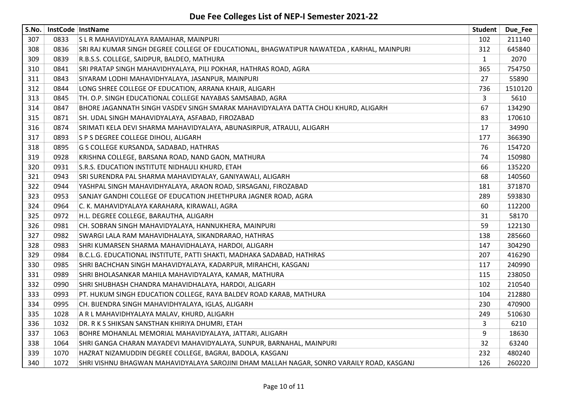| S.No. |      | InstCode   InstName                                                                       | <b>Student</b> | Due_Fee |
|-------|------|-------------------------------------------------------------------------------------------|----------------|---------|
| 307   | 0833 | S L R MAHAVIDYALAYA RAMAIHAR, MAINPURI                                                    | 102            | 211140  |
| 308   | 0836 | SRI RAJ KUMAR SINGH DEGREE COLLEGE OF EDUCATIONAL, BHAGWATIPUR NAWATEDA, KARHAL, MAINPURI | 312            | 645840  |
| 309   | 0839 | R.B.S.S. COLLEGE, SAIDPUR, BALDEO, MATHURA                                                | $\mathbf{1}$   | 2070    |
| 310   | 0841 | SRI PRATAP SINGH MAHAVIDHYALAYA, PILI POKHAR, HATHRAS ROAD, AGRA                          | 365            | 754750  |
| 311   | 0843 | SIYARAM LODHI MAHAVIDHYALAYA, JASANPUR, MAINPURI                                          | 27             | 55890   |
| 312   | 0844 | LONG SHREE COLLEGE OF EDUCATION, ARRANA KHAIR, ALIGARH                                    | 736            | 1510120 |
| 313   | 0845 | TH. O.P. SINGH EDUCATIONAL COLLEGE NAYABAS SAMSABAD, AGRA                                 | 3              | 5610    |
| 314   | 0847 | BHORE JAGANNATH SINGH VASDEV SINGH SMARAK MAHAVIDYALAYA DATTA CHOLI KHURD, ALIGARH        | 67             | 134290  |
| 315   | 0871 | SH. UDAL SINGH MAHAVIDYALAYA, ASFABAD, FIROZABAD                                          | 83             | 170610  |
| 316   | 0874 | SRIMATI KELA DEVI SHARMA MAHAVIDYALAYA, ABUNASIRPUR, ATRAULI, ALIGARH                     | 17             | 34990   |
| 317   | 0893 | S P S DEGREE COLLEGE DIHOLI, ALIGARH                                                      | 177            | 366390  |
| 318   | 0895 | G S COLLEGE KURSANDA, SADABAD, HATHRAS                                                    | 76             | 154720  |
| 319   | 0928 | KRISHNA COLLEGE, BARSANA ROAD, NAND GAON, MATHURA                                         | 74             | 150980  |
| 320   | 0931 | S.R.S. EDUCATION INSTITUTE NIDHAULI KHURD, ETAH                                           | 66             | 135220  |
| 321   | 0943 | SRI SURENDRA PAL SHARMA MAHAVIDYALAY, GANIYAWALI, ALIGARH                                 | 68             | 140560  |
| 322   | 0944 | YASHPAL SINGH MAHAVIDHYALAYA, ARAON ROAD, SIRSAGANJ, FIROZABAD                            | 181            | 371870  |
| 323   | 0953 | SANJAY GANDHI COLLEGE OF EDUCATION JHEETHPURA JAGNER ROAD, AGRA                           | 289            | 593830  |
| 324   | 0964 | C. K. MAHAVIDYALAYA KARAHARA, KIRAWALI, AGRA                                              | 60             | 112200  |
| 325   | 0972 | H.L. DEGREE COLLEGE, BARAUTHA, ALIGARH                                                    | 31             | 58170   |
| 326   | 0981 | CH. SOBRAN SINGH MAHAVIDYALAYA, HANNUKHERA, MAINPURI                                      | 59             | 122130  |
| 327   | 0982 | SWARGI LALA RAM MAHAVIDHALAYA, SIKANDRARAO, HATHRAS                                       | 138            | 285660  |
| 328   | 0983 | SHRI KUMARSEN SHARMA MAHAVIDHALAYA, HARDOI, ALIGARH                                       | 147            | 304290  |
| 329   | 0984 | B.C.L.G. EDUCATIONAL INSTITUTE, PATTI SHAKTI, MADHAKA SADABAD, HATHRAS                    | 207            | 416290  |
| 330   | 0985 | SHRI BACHCHAN SINGH MAHAVIDYALAYA, KADARPUR, MIRAHCHI, KASGANJ                            | 117            | 240990  |
| 331   | 0989 | SHRI BHOLASANKAR MAHILA MAHAVIDYALAYA, KAMAR, MATHURA                                     | 115            | 238050  |
| 332   | 0990 | SHRI SHUBHASH CHANDRA MAHAVIDHALAYA, HARDOI, ALIGARH                                      | 102            | 210540  |
| 333   | 0993 | PT. HUKUM SINGH EDUCATION COLLEGE, RAYA BALDEV ROAD KARAB, MATHURA                        | 104            | 212880  |
| 334   | 0995 | CH. BIJENDRA SINGH MAHAVIDHYALAYA, IGLAS, ALIGARH                                         | 230            | 470900  |
| 335   | 1028 | A R L MAHAVIDHYALAYA MALAV, KHURD, ALIGARH                                                | 249            | 510630  |
| 336   | 1032 | DR. R K S SHIKSAN SANSTHAN KHIRIYA DHUMRI, ETAH                                           | 3              | 6210    |
| 337   | 1063 | BOHRE MOHANLAL MEMORIAL MAHAVIDYALAYA, JATTARI, ALIGARH                                   | 9              | 18630   |
| 338   | 1064 | SHRI GANGA CHARAN MAYADEVI MAHAVIDYALAYA, SUNPUR, BARNAHAL, MAINPURI                      | 32             | 63240   |
| 339   | 1070 | HAZRAT NIZAMUDDIN DEGREE COLLEGE, BAGRAI, BADOLA, KASGANJ                                 | 232            | 480240  |
| 340   | 1072 | SHRI VISHNU BHAGWAN MAHAVIDYALAYA SAROJINI DHAM MALLAH NAGAR, SONRO VARAILY ROAD, KASGANJ | 126            | 260220  |